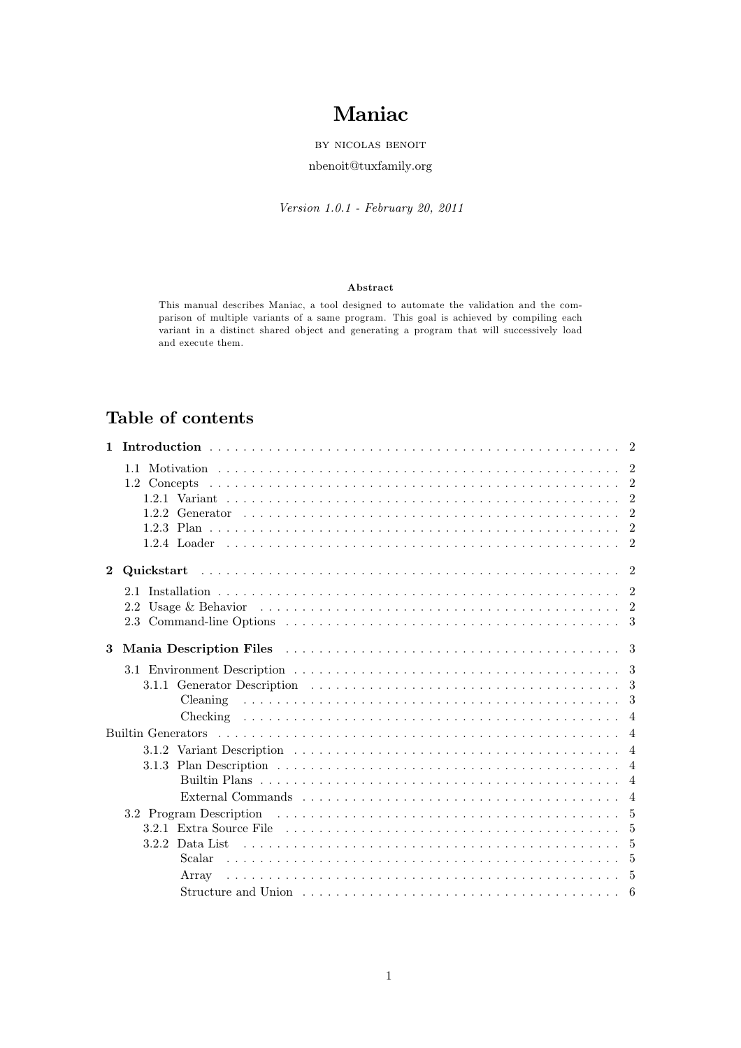# **Maniac**

by nicolas benoit

nbenoit@tuxfamily.org

*Version 1.0.1 - February 20, 2011*

## **Abstract**

This manual describes Maniac, a tool designed to automate the validation and the comparison of multiple variants of a same program. This goal is achieved by compiling each variant in a distinct shared object and generating a program that will successively load and execute them.

## **Table of contents**

| $\mathbf{1}$   |                                                                                                                                      |  |
|----------------|--------------------------------------------------------------------------------------------------------------------------------------|--|
|                |                                                                                                                                      |  |
|                |                                                                                                                                      |  |
|                |                                                                                                                                      |  |
|                |                                                                                                                                      |  |
|                |                                                                                                                                      |  |
|                |                                                                                                                                      |  |
| $\overline{2}$ |                                                                                                                                      |  |
|                |                                                                                                                                      |  |
|                |                                                                                                                                      |  |
|                |                                                                                                                                      |  |
|                |                                                                                                                                      |  |
| 3              |                                                                                                                                      |  |
|                |                                                                                                                                      |  |
|                |                                                                                                                                      |  |
|                |                                                                                                                                      |  |
|                |                                                                                                                                      |  |
|                |                                                                                                                                      |  |
|                |                                                                                                                                      |  |
|                | 3.1.3 Plan Description $\dots \dots \dots \dots \dots \dots \dots \dots \dots \dots \dots \dots \dots \dots \dots \dots \dots \dots$ |  |
|                |                                                                                                                                      |  |
|                |                                                                                                                                      |  |
|                |                                                                                                                                      |  |
|                |                                                                                                                                      |  |
|                |                                                                                                                                      |  |
|                |                                                                                                                                      |  |
|                |                                                                                                                                      |  |
|                |                                                                                                                                      |  |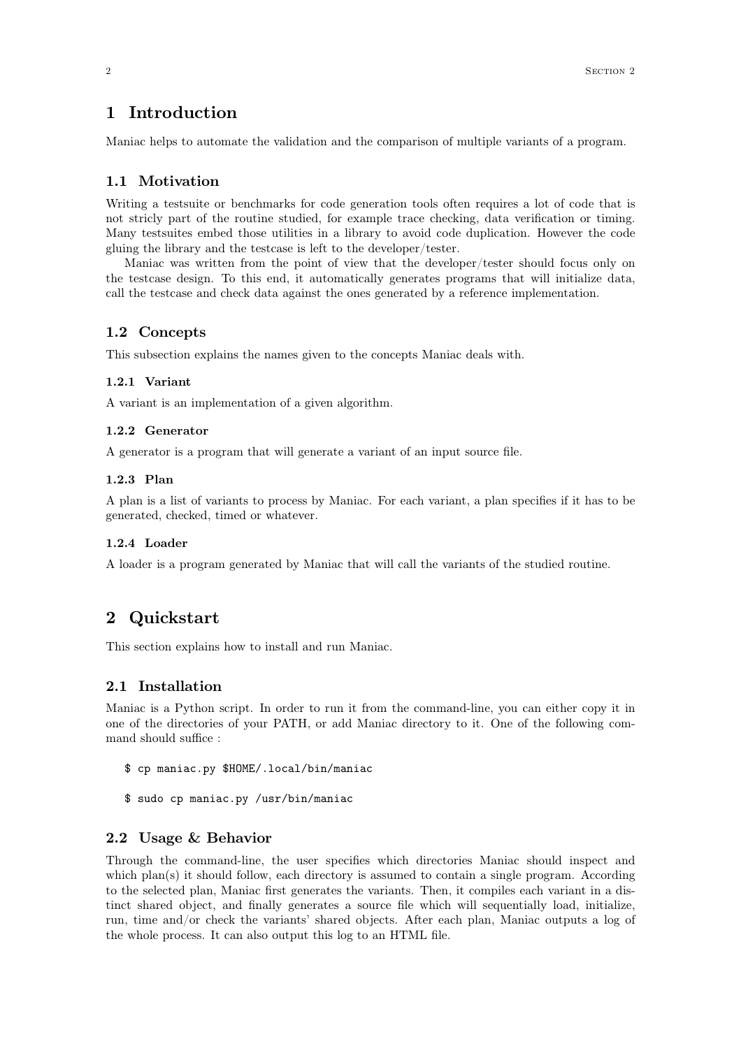## **1 Introduction**

Maniac helps to automate the validation and the comparison of multiple variants of a program.

## **1.1 Motivation**

Writing a testsuite or benchmarks for code generation tools often requires a lot of code that is not stricly part of the routine studied, for example trace checking, data verification or timing. Many testsuites embed those utilities in a library to avoid code duplication. However the code gluing the library and the testcase is left to the developer/tester.

Maniac was written from the point of view that the developer/tester should focus only on the testcase design. To this end, it automatically generates programs that will initialize data, call the testcase and check data against the ones generated by a reference implementation.

## **1.2 Concepts**

This subsection explains the names given to the concepts Maniac deals with.

#### **1.2.1 Variant**

A variant is an implementation of a given algorithm.

## **1.2.2 Generator**

A generator is a program that will generate a variant of an input source file.

## **1.2.3 Plan**

A plan is a list of variants to process by Maniac. For each variant, a plan specifies if it has to be generated, checked, timed or whatever.

## **1.2.4 Loader**

A loader is a program generated by Maniac that will call the variants of the studied routine.

## **2 Quickstart**

This section explains how to install and run Maniac.

## **2.1 Installation**

Maniac is a Python script. In order to run it from the command-line, you can either copy it in one of the directories of your PATH, or add Maniac directory to it. One of the following command should suffice :

- \$ cp maniac.py \$HOME/.local/bin/maniac
- \$ sudo cp maniac.py /usr/bin/maniac

## **2.2 Usage & Behavior**

Through the command-line, the user specifies which directories Maniac should inspect and which plan(s) it should follow, each directory is assumed to contain a single program. According to the selected plan, Maniac first generates the variants. Then, it compiles each variant in a distinct shared object, and finally generates a source file which will sequentially load, initialize, run, time and/or check the variants' shared objects. After each plan, Maniac outputs a log of the whole process. It can also output this log to an HTML file.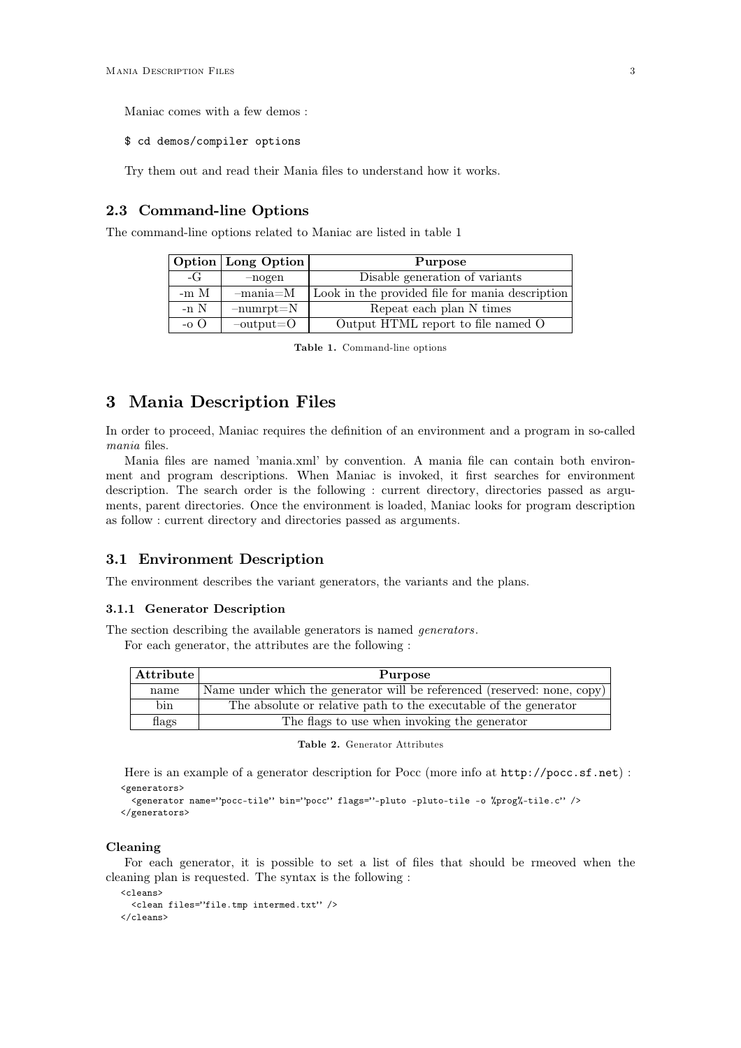Maniac comes with a few demos :

\$ cd demos/compiler options

Try them out and read their Mania files to understand how it works.

## **2.3 Command-line Options**

The command-line options related to Maniac are listed in table 1

|          | <b>Option</b> Long Option | Purpose                                         |
|----------|---------------------------|-------------------------------------------------|
| $-G$     | $-nogen$                  | Disable generation of variants                  |
| $-m \ M$ | $-mania=M$                | Look in the provided file for mania description |
| $-n$ N   | $-$ numrpt $=N$           | Repeat each plan N times                        |
| $-0$ O   | $-$ output= $O$           | Output HTML report to file named O              |

**Table 1.** Command-line options

## **3 Mania Description Files**

In order to proceed, Maniac requires the definition of an environment and a program in so-called *mania* files.

Mania files are named 'mania.xml' by convention. A mania file can contain both environment and program descriptions. When Maniac is invoked, it first searches for environment description. The search order is the following : current directory, directories passed as arguments, parent directories. Once the environment is loaded, Maniac looks for program description as follow : current directory and directories passed as arguments.

## **3.1 Environment Description**

The environment describes the variant generators, the variants and the plans.

#### **3.1.1 Generator Description**

The section describing the available generators is named *generators*.

For each generator, the attributes are the following :

| <b>Attribute</b> | Purpose                                                                  |
|------------------|--------------------------------------------------------------------------|
| name             | Name under which the generator will be referenced (reserved: none, copy) |
| bin              | The absolute or relative path to the executable of the generator         |
| flags            | The flags to use when invoking the generator                             |

```
Table 2. Generator Attributes
```
Here is an example of a generator description for Pocc (more info at http://pocc.sf.net) : <generators>

```
.<br><generator name="pocc-tile" bin="pocc" flags="-pluto -pluto-tile -o %prog%-tile.c" />
</generators>
```
## **Cleaning**

For each generator, it is possible to set a list of files that should be rmeoved when the cleaning plan is requested. The syntax is the following :

```
<cleans>
  <clean files="file.tmp intermed.txt" />
</cleans>
```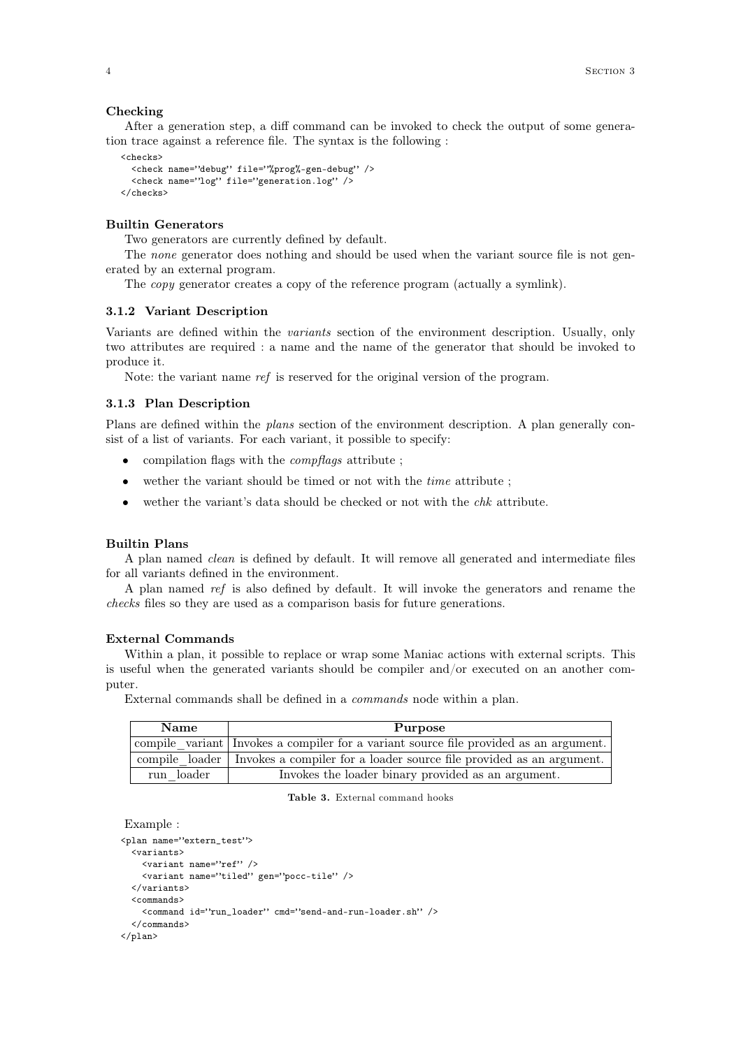After a generation step, a diff command can be invoked to check the output of some generation trace against a reference file. The syntax is the following :

```
<checks>
 <check name="debug" file="%prog%-gen-debug" />
 <check name="log" file="generation.log" />
</checks>
```
## **Builtin Generators**

Two generators are currently defined by default.

The *none* generator does nothing and should be used when the variant source file is not generated by an external program.

The *copy* generator creates a copy of the reference program (actually a symlink).

#### **3.1.2 Variant Description**

Variants are defined within the *variants* section of the environment description. Usually, only two attributes are required : a name and the name of the generator that should be invoked to produce it.

Note: the variant name *ref* is reserved for the original version of the program.

## **3.1.3 Plan Description**

Plans are defined within the *plans* section of the environment description. A plan generally consist of a list of variants. For each variant, it possible to specify:

- compilation flags with the *compflags* attribute ;
- wether the variant should be timed or not with the *time* attribute ;
- wether the variant's data should be checked or not with the *chk* attribute.

## **Builtin Plans**

A plan named *clean* is defined by default. It will remove all generated and intermediate files for all variants defined in the environment.

A plan named *ref* is also defined by default. It will invoke the generators and rename the *checks* files so they are used as a comparison basis for future generations.

#### **External Commands**

Within a plan, it possible to replace or wrap some Maniac actions with external scripts. This is useful when the generated variants should be compiler and/or executed on an another computer.

External commands shall be defined in a *commands* node within a plan.

| <b>Name</b> | Purpose                                                                               |
|-------------|---------------------------------------------------------------------------------------|
|             | compile variant Invokes a compiler for a variant source file provided as an argument. |
|             | compile loader I Invokes a compiler for a loader source file provided as an argument. |
| run loader  | Invokes the loader binary provided as an argument.                                    |

**Table 3.** External command hooks

```
Example :
```

```
<plan name="extern_test">
 <variants>
   <variant name="ref" />
   <variant name="tiled" gen="pocc-tile" />
 </variants>
  <commands>
   <command id="run_loader" cmd="send-and-run-loader.sh" />
 </commands>
\langle/nlan>
```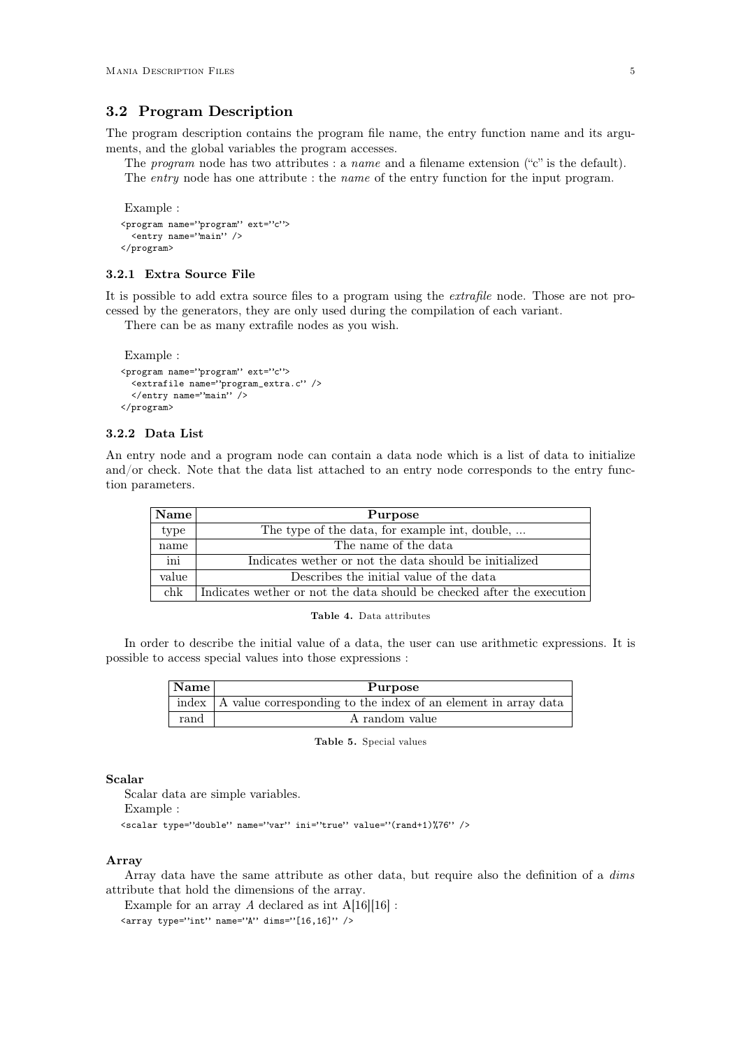## **3.2 Program Description**

The program description contains the program file name, the entry function name and its arguments, and the global variables the program accesses.

The *program* node has two attributes : a *name* and a filename extension ("c" is the default). The *entry* node has one attribute : the *name* of the entry function for the input program.

```
Example :
<program name="program" ext="c">
 <entry name="main" />
</program>
```
#### **3.2.1 Extra Source File**

It is possible to add extra source files to a program using the *extrafile* node. Those are not processed by the generators, they are only used during the compilation of each variant.

There can be as many extrafile nodes as you wish.

```
Example :
<program name="program" ext="c">
 <extrafile name="program_extra.c" />
 </entry name="main" />
</program>
```
## **3.2.2 Data List**

An entry node and a program node can contain a data node which is a list of data to initialize and/or check. Note that the data list attached to an entry node corresponds to the entry function parameters.

| <b>Name</b> | Purpose                                                                |
|-------------|------------------------------------------------------------------------|
| type        | The type of the data, for example int, double,                         |
| name        | The name of the data                                                   |
| ini         | Indicates wether or not the data should be initialized                 |
| value       | Describes the initial value of the data                                |
| chk         | Indicates wether or not the data should be checked after the execution |



In order to describe the initial value of a data, the user can use arithmetic expressions. It is possible to access special values into those expressions :

| Name | Purpose                                                                                                      |
|------|--------------------------------------------------------------------------------------------------------------|
|      | $\sqrt{\frac{1}{2}}$ index $\sqrt{\frac{1}{2}}$ value corresponding to the index of an element in array data |
| rand | A random value                                                                                               |

**Table 5.** Special values

#### **Scalar**

Scalar data are simple variables.

Example :

<scalar type="double" name="var" ini="true" value="(rand+1)%76" />

#### **Array**

Array data have the same attribute as other data, but require also the definition of a *dims* attribute that hold the dimensions of the array.

Example for an array  $A$  declared as int  $A[16][16]$ :

 $\langle$ array type="int" name="A" dims="[16,16]" />